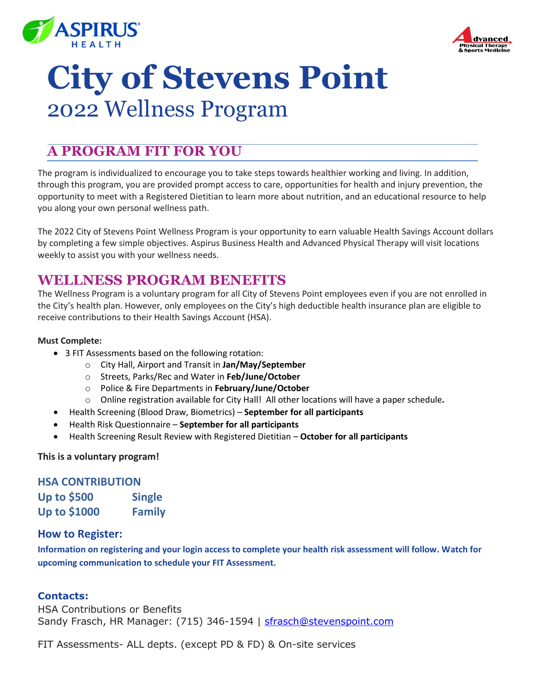



# **City of Stevens Point** 2022 Wellness Program

## **A PROGRAM FIT FOR YOU**

The program is individualized to encourage you to take steps towards healthier working and living. In addition, through this program, you are provided prompt access to care, opportunities for health and injury prevention, the opportunity to meet with a Registered Dietitian to learn more about nutrition, and an educational resource to help you along your own personal wellness path.

The 2022 City of Stevens Point Wellness Program is your opportunity to earn valuable Health Savings Account dollars by completing a few simple objectives. Aspirus Business Health and Advanced Physical Therapy will visit locations weekly to assist you with your wellness needs.

## **WELLNESS PROGRAM BENEFITS**

The Wellness Program is a voluntary program for all City of Stevens Point employees even if you are not enrolled in the City's health plan. However, only employees on the City's high deductible health insurance plan are eligible to receive contributions to their Health Savings Account (HSA).

#### **Must Complete:**

- 3 FIT Assessments based on the following rotation:
	- o City Hall, Airport and Transit in **Jan/May/September**
	- o Streets, Parks/Rec and Water in **Feb/June/October**
	- o Police & Fire Departments in **February/June/October**
	- o Online registration available for City Hall! All other locations will have a paper schedule*.*
- Health Screening (Blood Draw, Biometrics) **September for all participants**
- Health Risk Questionnaire **September for all participants**
- Health Screening Result Review with Registered Dietitian **October for all participants**

#### **This is a voluntary program!**

#### **HSA CONTRIBUTION**

| <b>Up to \$500</b>  | <b>Single</b> |
|---------------------|---------------|
| <b>Up to \$1000</b> | <b>Family</b> |

#### **How to Register:**

**Information on registering and your login access to complete your health risk assessment will follow. Watch for upcoming communication to schedule your FIT Assessment.** 

#### **Contacts:**

HSA Contributions or Benefits Sandy Frasch, HR Manager: (715) 346-1594 | [sfrasch@stevenspoint.com](mailto:sfrasch@stevenspoint.com)

FIT Assessments- ALL depts. (except PD & FD) & On-site services